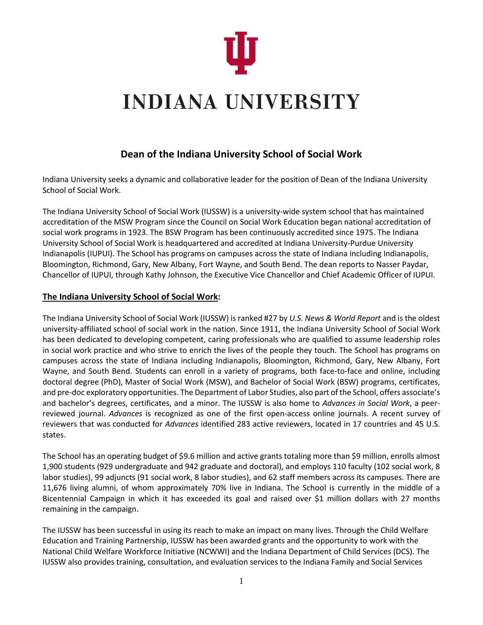

# **INDIANA UNIVERSITY**

# **Dean of the Indiana University School of Social Work**

Indiana University seeks a dynamic and collaborative leader for the position of Dean of the Indiana University School of Social Work.

The Indiana University School of Social Work (IUSSW) is a university-wide system school that has maintained accreditation of the MSW Program since the Council on Social Work Education began national accreditation of social work programs in 1923. The BSW Program has been continuously accredited since 1975. The Indiana University School of Social Work is headquartered and accredited at Indiana University-Purdue University Indianapolis (IUPUI). The School has programs on campuses across the state of Indiana including Indianapolis, Bloomington, Richmond, Gary, New Albany, Fort Wayne, and South Bend. The dean reports to Nasser Paydar, Chancellor of IUPUI, through Kathy Johnson, the Executive Vice Chancellor and Chief Academic Officer of IUPUI.

# **The Indiana University School of Social Work:**

The Indiana University School of Social Work (IUSSW) is ranked #27 by *U.S. News & World Report* and is the oldest university-affiliated school of social work in the nation. Since 1911, the Indiana University School of Social Work has been dedicated to developing competent, caring professionals who are qualified to assume leadership roles in social work practice and who strive to enrich the lives of the people they touch. The School has programs on campuses across the state of Indiana including Indianapolis, Bloomington, Richmond, Gary, New Albany, Fort Wayne, and South Bend. Students can enroll in a variety of programs, both face-to-face and online, including doctoral degree (PhD), Master of Social Work (MSW), and Bachelor of Social Work (BSW) programs, certificates, and pre-doc exploratory opportunities. The Department of Labor Studies, also part of the School, offers associate's and bachelor's degrees, certificates, and a minor. The IUSSW is also home to *Advances in Social Work*, a peerreviewed journal. *Advances* is recognized as one of the first open-access online journals. A recent survey of reviewers that was conducted for *Advances* identified 283 active reviewers, located in 17 countries and 45 U.S. states.

The School has an operating budget of \$9.6 million and active grants totaling more than \$9 million, enrolls almost 1,900 students (929 undergraduate and 942 graduate and doctoral), and employs 110 faculty (102 social work, 8 labor studies), 99 adjuncts (91 social work, 8 labor studies), and 62 staff members across its campuses. There are 11,676 living alumni, of whom approximately 70% live in Indiana. The School is currently in the middle of a Bicentennial Campaign in which it has exceeded its goal and raised over \$1 million dollars with 27 months remaining in the campaign.

The IUSSW has been successful in using its reach to make an impact on many lives. Through the Child Welfare Education and Training Partnership, IUSSW has been awarded grants and the opportunity to work with the National Child Welfare Workforce Initiative (NCWWI) and the Indiana Department of Child Services (DCS). The IUSSW also provides training, consultation, and evaluation services to the Indiana Family and Social Services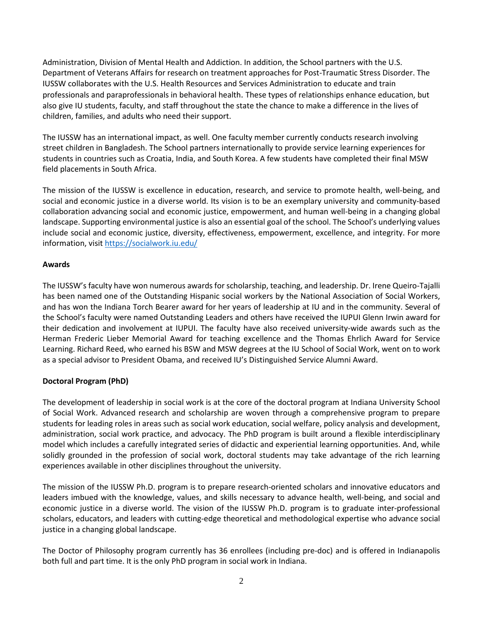Administration, Division of Mental Health and Addiction. In addition, the School partners with the U.S. Department of Veterans Affairs for research on treatment approaches for Post-Traumatic Stress Disorder. The IUSSW collaborates with the U.S. Health Resources and Services Administration to educate and train professionals and paraprofessionals in behavioral health. These types of relationships enhance education, but also give IU students, faculty, and staff throughout the state the chance to make a difference in the lives of children, families, and adults who need their support.

The IUSSW has an international impact, as well. One faculty member currently conducts research involving street children in Bangladesh. The School partners internationally to provide service learning experiences for students in countries such as Croatia, India, and South Korea. A few students have completed their final MSW field placements in South Africa.

The mission of the IUSSW is excellence in education, research, and service to promote health, well-being, and social and economic justice in a diverse world. Its vision is to be an exemplary university and community-based collaboration advancing social and economic justice, empowerment, and human well-being in a changing global landscape. Supporting environmental justice is also an essential goal of the school. The School's underlying values include social and economic justice, diversity, effectiveness, empowerment, excellence, and integrity. For more information, visit<https://socialwork.iu.edu/>

# **Awards**

The IUSSW's faculty have won numerous awards for scholarship, teaching, and leadership. Dr. Irene Queiro-Tajalli has been named one of the Outstanding Hispanic social workers by the National Association of Social Workers, and has won the Indiana Torch Bearer award for her years of leadership at IU and in the community. Several of the School's faculty were named Outstanding Leaders and others have received the IUPUI Glenn Irwin award for their dedication and involvement at IUPUI. The faculty have also received university-wide awards such as the Herman Frederic Lieber Memorial Award for teaching excellence and the Thomas Ehrlich Award for Service Learning. Richard Reed, who earned his BSW and MSW degrees at the IU School of Social Work, went on to work as a special advisor to President Obama, and received IU's Distinguished Service Alumni Award.

# **Doctoral Program (PhD)**

The development of leadership in social work is at the core of the doctoral program at Indiana University School of Social Work. Advanced research and scholarship are woven through a comprehensive program to prepare students for leading roles in areas such as social work education, social welfare, policy analysis and development, administration, social work practice, and advocacy. The PhD program is built around a flexible interdisciplinary model which includes a carefully integrated series of didactic and experiential learning opportunities. And, while solidly grounded in the profession of social work, doctoral students may take advantage of the rich learning experiences available in other disciplines throughout the university.

The mission of the IUSSW Ph.D. program is to prepare research-oriented scholars and innovative educators and leaders imbued with the knowledge, values, and skills necessary to advance health, well-being, and social and economic justice in a diverse world. The vision of the IUSSW Ph.D. program is to graduate inter-professional scholars, educators, and leaders with cutting-edge theoretical and methodological expertise who advance social justice in a changing global landscape.

The Doctor of Philosophy program currently has 36 enrollees (including pre-doc) and is offered in Indianapolis both full and part time. It is the only PhD program in social work in Indiana.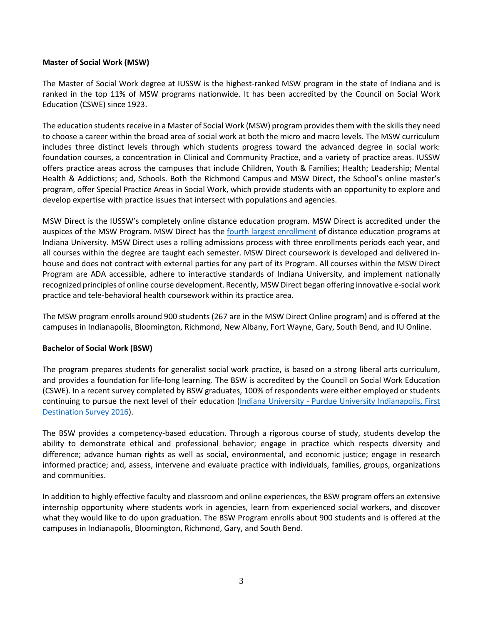## **Master of Social Work (MSW)**

The Master of Social Work degree at IUSSW is the highest-ranked MSW program in the state of Indiana and is ranked in the top 11% of MSW programs nationwide. It has been accredited by the Council on Social Work Education (CSWE) since 1923.

The education students receive in a Master of Social Work (MSW) program provides them with the skills they need to choose a career within the broad area of social work at both the micro and macro levels. The MSW curriculum includes three distinct levels through which students progress toward the advanced degree in social work: foundation courses, a concentration in Clinical and Community Practice, and a variety of practice areas. IUSSW offers practice areas across the campuses that include Children, Youth & Families; Health; Leadership; Mental Health & Addictions; and, Schools. Both the Richmond Campus and MSW Direct, the School's online master's program, offer Special Practice Areas in Social Work, which provide students with an opportunity to explore and develop expertise with practice issues that intersect with populations and agencies.

MSW Direct is the IUSSW's completely online distance education program. MSW Direct is accredited under the auspices of the MSW Program. MSW Direct has the [fourth largest enrollment](http://online.iu.edu/_assets/docs/iuo-glance.pdf) of distance education programs at Indiana University. MSW Direct uses a rolling admissions process with three enrollments periods each year, and all courses within the degree are taught each semester. MSW Direct coursework is developed and delivered inhouse and does not contract with external parties for any part of its Program. All courses within the MSW Direct Program are ADA accessible, adhere to interactive standards of Indiana University, and implement nationally recognized principles of online course development. Recently, MSW Direct began offering innovative e-social work practice and tele-behavioral health coursework within its practice area.

The MSW program enrolls around 900 students (267 are in the MSW Direct Online program) and is offered at the campuses in Indianapolis, Bloomington, Richmond, New Albany, Fort Wayne, Gary, South Bend, and IU Online.

# **Bachelor of Social Work (BSW)**

The program prepares students for generalist social work practice, is based on a strong liberal arts curriculum, and provides a foundation for life-long learning. The BSW is accredited by the Council on Social Work Education (CSWE). In a recent survey completed by BSW graduates, 100% of respondents were either employed or students continuing to pursue the next level of their education (Indiana University - [Purdue University Indianapolis, First](https://archives.iupui.edu/handle/2450/11258)  [Destination Survey 2016\)](https://archives.iupui.edu/handle/2450/11258).

The BSW provides a competency-based education. Through a rigorous course of study, students develop the ability to demonstrate ethical and professional behavior; engage in practice which respects diversity and difference; advance human rights as well as social, environmental, and economic justice; engage in research informed practice; and, assess, intervene and evaluate practice with individuals, families, groups, organizations and communities.

In addition to highly effective faculty and classroom and online experiences, the BSW program offers an extensive internship opportunity where students work in agencies, learn from experienced social workers, and discover what they would like to do upon graduation. The BSW Program enrolls about 900 students and is offered at the campuses in Indianapolis, Bloomington, Richmond, Gary, and South Bend.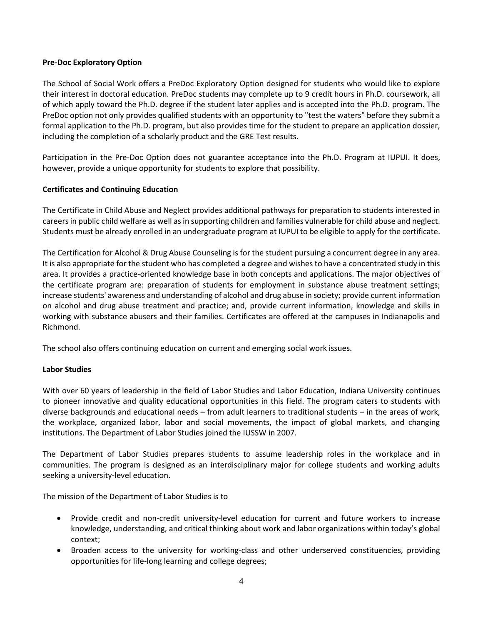### **Pre-Doc Exploratory Option**

The School of Social Work offers a PreDoc Exploratory Option designed for students who would like to explore their interest in doctoral education. PreDoc students may complete up to 9 credit hours in Ph.D. coursework, all of which apply toward the Ph.D. degree if the student later applies and is accepted into the Ph.D. program. The PreDoc option not only provides qualified students with an opportunity to "test the waters" before they submit a formal application to the Ph.D. program, but also provides time for the student to prepare an application dossier, including the completion of a scholarly product and the GRE Test results.

Participation in the Pre-Doc Option does not guarantee acceptance into the Ph.D. Program at IUPUI. It does, however, provide a unique opportunity for students to explore that possibility.

# **Certificates and Continuing Education**

The Certificate in Child Abuse and Neglect provides additional pathways for preparation to students interested in careers in public child welfare as well as in supporting children and families vulnerable for child abuse and neglect. Students must be already enrolled in an undergraduate program at IUPUI to be eligible to apply for the certificate.

The Certification for Alcohol & Drug Abuse Counseling is for the student pursuing a concurrent degree in any area. It is also appropriate for the student who has completed a degree and wishes to have a concentrated study in this area. It provides a practice-oriented knowledge base in both concepts and applications. The major objectives of the certificate program are: preparation of students for employment in substance abuse treatment settings; increase students' awareness and understanding of alcohol and drug abuse in society; provide current information on alcohol and drug abuse treatment and practice; and, provide current information, knowledge and skills in working with substance abusers and their families. Certificates are offered at the campuses in Indianapolis and Richmond.

The school also offers continuing education on current and emerging social work issues.

## **Labor Studies**

With over 60 years of leadership in the field of Labor Studies and Labor Education, Indiana University continues to pioneer innovative and quality educational opportunities in this field. The program caters to students with diverse backgrounds and educational needs – from adult learners to traditional students – in the areas of work, the workplace, organized labor, labor and social movements, the impact of global markets, and changing institutions. The Department of Labor Studies joined the IUSSW in 2007.

The Department of Labor Studies prepares students to assume leadership roles in the workplace and in communities. The program is designed as an interdisciplinary major for college students and working adults seeking a university-level education.

The mission of the Department of Labor Studies is to

- Provide credit and non-credit university-level education for current and future workers to increase knowledge, understanding, and critical thinking about work and labor organizations within today's global context;
- Broaden access to the university for working-class and other underserved constituencies, providing opportunities for life-long learning and college degrees;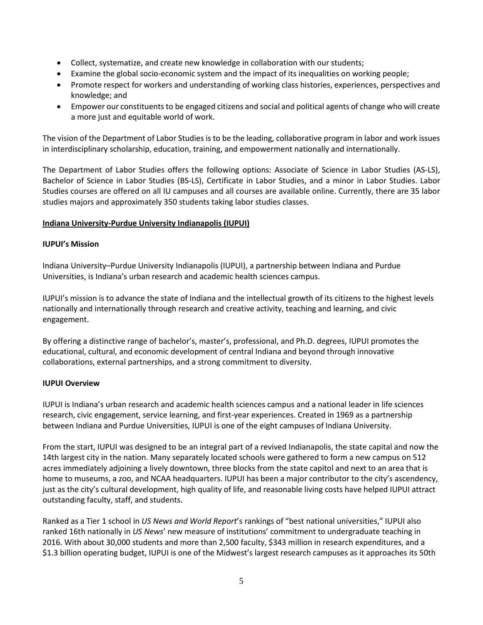- Collect, systematize, and create new knowledge in collaboration with our students;
- Examine the global socio-economic system and the impact of its inequalities on working people;
- Promote respect for workers and understanding of working class histories, experiences, perspectives and knowledge; and
- Empower our constituents to be engaged citizens and social and political agents of change who will create a more just and equitable world of work.

The vision of the Department of Labor Studies is to be the leading, collaborative program in labor and work issues in interdisciplinary scholarship, education, training, and empowerment nationally and internationally.

The Department of Labor Studies offers the following options: Associate of Science in Labor Studies (AS-LS), Bachelor of Science in Labor Studies (BS-LS), Certificate in Labor Studies, and a minor in Labor Studies. Labor Studies courses are offered on all IU campuses and all courses are available online. Currently, there are 35 labor studies majors and approximately 350 students taking labor studies classes.

# **Indiana University-Purdue University Indianapolis (IUPUI)**

## **IUPUI's Mission**

Indiana University–Purdue University Indianapolis (IUPUI), a partnership between Indiana and Purdue Universities, is Indiana's urban research and academic health sciences campus.

IUPUI's mission is to advance the state of Indiana and the intellectual growth of its citizens to the highest levels nationally and internationally through research and creative activity, teaching and learning, and civic engagement.

By offering a distinctive range of bachelor's, master's, professional, and Ph.D. degrees, IUPUI promotes the educational, cultural, and economic development of central Indiana and beyond through innovative collaborations, external partnerships, and a strong commitment to diversity.

## **IUPUI Overview**

IUPUI is Indiana's urban research and academic health sciences campus and a national leader in life sciences research, civic engagement, service learning, and first-year experiences. Created in 1969 as a partnership between Indiana and Purdue Universities, IUPUI is one of the eight campuses of Indiana University.

From the start, IUPUI was designed to be an integral part of a revived Indianapolis, the state capital and now the 14th largest city in the nation. Many separately located schools were gathered to form a new campus on 512 acres immediately adjoining a lively downtown, three blocks from the state capitol and next to an area that is home to museums, a zoo, and NCAA headquarters. IUPUI has been a major contributor to the city's ascendency, just as the city's cultural development, high quality of life, and reasonable living costs have helped IUPUI attract outstanding faculty, staff, and students.

Ranked as a Tier 1 school in *US News and World Report*'s rankings of "best national universities," IUPUI also ranked 16th nationally in *US News*' new measure of institutions' commitment to undergraduate teaching in 2016. With about 30,000 students and more than 2,500 faculty, \$343 million in research expenditures, and a \$1.3 billion operating budget, IUPUI is one of the Midwest's largest research campuses as it approaches its 50th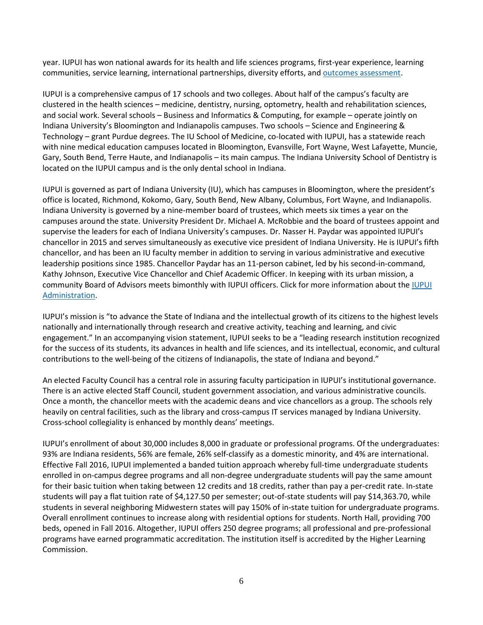year. IUPUI has won national awards for its health and life sciences programs, first-year experience, learning communities, service learning, international partnerships, diversity efforts, an[d outcomes assessment.](http://www.learningoutcomesassessment.org/eiadesignation_2016.html)

IUPUI is a comprehensive campus of 17 schools and two colleges. About half of the campus's faculty are clustered in the health sciences – medicine, dentistry, nursing, optometry, health and rehabilitation sciences, and social work. Several schools – Business and Informatics & Computing, for example – operate jointly on Indiana University's Bloomington and Indianapolis campuses. Two schools – Science and Engineering & Technology – grant Purdue degrees. The IU School of Medicine, co-located with IUPUI, has a statewide reach with nine medical education campuses located in Bloomington, Evansville, Fort Wayne, West Lafayette, Muncie, Gary, South Bend, Terre Haute, and Indianapolis – its main campus. The Indiana University School of Dentistry is located on the IUPUI campus and is the only dental school in Indiana.

IUPUI is governed as part of Indiana University (IU), which has campuses in Bloomington, where the president's office is located, Richmond, Kokomo, Gary, South Bend, New Albany, Columbus, Fort Wayne, and Indianapolis. Indiana University is governed by a nine-member board of trustees, which meets six times a year on the campuses around the state. University President Dr. Michael A. McRobbie and the board of trustees appoint and supervise the leaders for each of Indiana University's campuses. Dr. Nasser H. Paydar was appointed IUPUI's chancellor in 2015 and serves simultaneously as executive vice president of Indiana University. He is IUPUI's fifth chancellor, and has been an IU faculty member in addition to serving in various administrative and executive leadership positions since 1985. Chancellor Paydar has an 11-person cabinet, led by his second-in-command, Kathy Johnson, Executive Vice Chancellor and Chief Academic Officer. In keeping with its urban mission, a community Board of Advisors meets bimonthly with IUPUI officers. Click for more information about the [IUPUI](https://chancellor.iupui.edu/campus-leadership/index.html)  [Administration.](https://chancellor.iupui.edu/campus-leadership/index.html)

IUPUI's mission is "to advance the State of Indiana and the intellectual growth of its citizens to the highest levels nationally and internationally through research and creative activity, teaching and learning, and civic engagement." In an accompanying vision statement, IUPUI seeks to be a "leading research institution recognized for the success of its students, its advances in health and life sciences, and its intellectual, economic, and cultural contributions to the well-being of the citizens of Indianapolis, the state of Indiana and beyond."

An elected Faculty Council has a central role in assuring faculty participation in IUPUI's institutional governance. There is an active elected Staff Council, student government association, and various administrative councils. Once a month, the chancellor meets with the academic deans and vice chancellors as a group. The schools rely heavily on central facilities, such as the library and cross-campus IT services managed by Indiana University. Cross-school collegiality is enhanced by monthly deans' meetings.

IUPUI's enrollment of about 30,000 includes 8,000 in graduate or professional programs. Of the undergraduates: 93% are Indiana residents, 56% are female, 26% self-classify as a domestic minority, and 4% are international. Effective Fall 2016, IUPUI implemented a banded tuition approach whereby full-time undergraduate students enrolled in on-campus degree programs and all non-degree undergraduate students will pay the same amount for their basic tuition when taking between 12 credits and 18 credits, rather than pay a per-credit rate. In-state students will pay a flat tuition rate of \$4,127.50 per semester; out-of-state students will pay \$14,363.70, while students in several neighboring Midwestern states will pay 150% of in-state tuition for undergraduate programs. Overall enrollment continues to increase along with residential options for students. North Hall, providing 700 beds, opened in Fall 2016. Altogether, IUPUI offers 250 degree programs; all professional and pre-professional programs have earned programmatic accreditation. The institution itself is accredited by the Higher Learning Commission.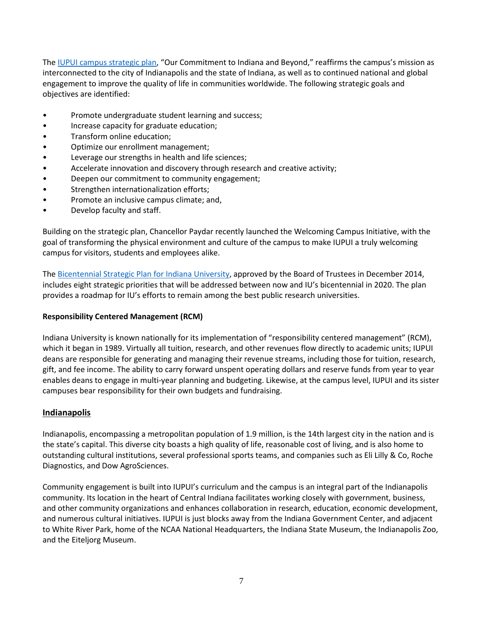The [IUPUI campus strategic plan,](https://strategicplan.iupui.edu/) "Our Commitment to Indiana and Beyond," reaffirms the campus's mission as interconnected to the city of Indianapolis and the state of Indiana, as well as to continued national and global engagement to improve the quality of life in communities worldwide. The following strategic goals and objectives are identified:

- Promote undergraduate student learning and success;
- Increase capacity for graduate education;
- Transform online education;
- Optimize our enrollment management;
- Leverage our strengths in health and life sciences;
- Accelerate innovation and discovery through research and creative activity;
- Deepen our commitment to community engagement;
- Strengthen internationalization efforts;
- Promote an inclusive campus climate; and,
- Develop faculty and staff.

Building on the strategic plan, Chancellor Paydar recently launched the Welcoming Campus Initiative, with the goal of transforming the physical environment and culture of the campus to make IUPUI a truly welcoming campus for visitors, students and employees alike.

The [Bicentennial Strategic Plan for Indiana University,](https://strategicplan.iu.edu/) approved by the Board of Trustees in December 2014, includes eight strategic priorities that will be addressed between now and IU's bicentennial in 2020. The plan provides a roadmap for IU's efforts to remain among the best public research universities.

## **Responsibility Centered Management (RCM)**

Indiana University is known nationally for its implementation of "responsibility centered management" (RCM), which it began in 1989. Virtually all tuition, research, and other revenues flow directly to academic units; IUPUI deans are responsible for generating and managing their revenue streams, including those for tuition, research, gift, and fee income. The ability to carry forward unspent operating dollars and reserve funds from year to year enables deans to engage in multi-year planning and budgeting. Likewise, at the campus level, IUPUI and its sister campuses bear responsibility for their own budgets and fundraising.

# **Indianapolis**

Indianapolis, encompassing a metropolitan population of 1.9 million, is the 14th largest city in the nation and is the state's capital. This diverse city boasts a high quality of life, reasonable cost of living, and is also home to outstanding cultural institutions, several professional sports teams, and companies such as Eli Lilly & Co, Roche Diagnostics, and Dow AgroSciences.

Community engagement is built into IUPUI's curriculum and the campus is an integral part of the Indianapolis community. Its location in the heart of Central Indiana facilitates working closely with government, business, and other community organizations and enhances collaboration in research, education, economic development, and numerous cultural initiatives. IUPUI is just blocks away from the Indiana Government Center, and adjacent to White River Park, home of the NCAA National Headquarters, the Indiana State Museum, the Indianapolis Zoo, and the Eiteljorg Museum.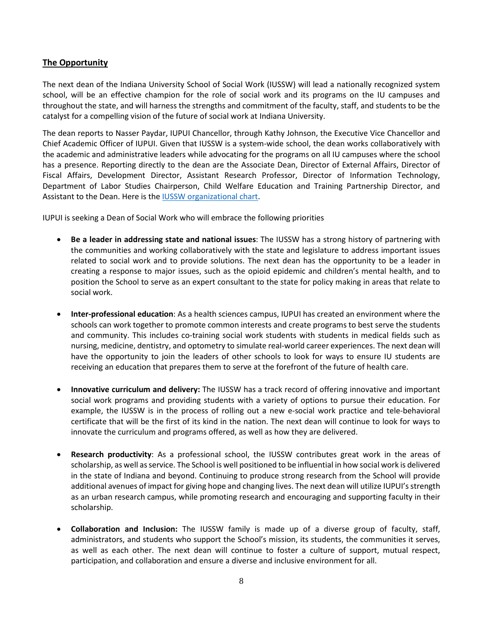# **The Opportunity**

The next dean of the Indiana University School of Social Work (IUSSW) will lead a nationally recognized system school, will be an effective champion for the role of social work and its programs on the IU campuses and throughout the state, and will harness the strengths and commitment of the faculty, staff, and students to be the catalyst for a compelling vision of the future of social work at Indiana University.

The dean reports to Nasser Paydar, IUPUI Chancellor, through Kathy Johnson, the Executive Vice Chancellor and Chief Academic Officer of IUPUI. Given that IUSSW is a system-wide school, the dean works collaboratively with the academic and administrative leaders while advocating for the programs on all IU campuses where the school has a presence. Reporting directly to the dean are the Associate Dean, Director of External Affairs, Director of Fiscal Affairs, Development Director, Assistant Research Professor, Director of Information Technology, Department of Labor Studies Chairperson, Child Welfare Education and Training Partnership Director, and Assistant to the Dean. Here is th[e IUSSW organizational chart.](https://www.dropbox.com/s/tl1t9083f6coc6y/Org%20Chart%20IUSSW%20September%202017.pdf?dl=0)

IUPUI is seeking a Dean of Social Work who will embrace the following priorities

- **Be a leader in addressing state and national issues**: The IUSSW has a strong history of partnering with the communities and working collaboratively with the state and legislature to address important issues related to social work and to provide solutions. The next dean has the opportunity to be a leader in creating a response to major issues, such as the opioid epidemic and children's mental health, and to position the School to serve as an expert consultant to the state for policy making in areas that relate to social work.
- **Inter-professional education**: As a health sciences campus, IUPUI has created an environment where the schools can work together to promote common interests and create programs to best serve the students and community. This includes co-training social work students with students in medical fields such as nursing, medicine, dentistry, and optometry to simulate real-world career experiences. The next dean will have the opportunity to join the leaders of other schools to look for ways to ensure IU students are receiving an education that prepares them to serve at the forefront of the future of health care.
- **Innovative curriculum and delivery:** The IUSSW has a track record of offering innovative and important social work programs and providing students with a variety of options to pursue their education. For example, the IUSSW is in the process of rolling out a new e-social work practice and tele-behavioral certificate that will be the first of its kind in the nation. The next dean will continue to look for ways to innovate the curriculum and programs offered, as well as how they are delivered.
- **Research productivity**: As a professional school, the IUSSW contributes great work in the areas of scholarship, as well as service. The School is well positioned to be influential in how social work is delivered in the state of Indiana and beyond. Continuing to produce strong research from the School will provide additional avenues of impact for giving hope and changing lives. The next dean will utilize IUPUI's strength as an urban research campus, while promoting research and encouraging and supporting faculty in their scholarship.
- **Collaboration and Inclusion:** The IUSSW family is made up of a diverse group of faculty, staff, administrators, and students who support the School's mission, its students, the communities it serves, as well as each other. The next dean will continue to foster a culture of support, mutual respect, participation, and collaboration and ensure a diverse and inclusive environment for all.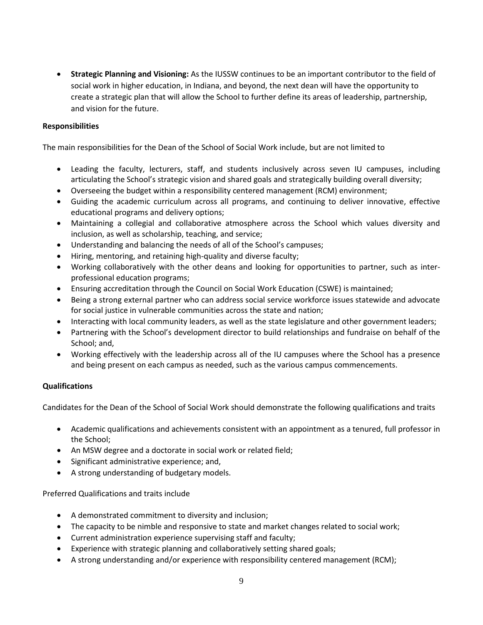• **Strategic Planning and Visioning:** As the IUSSW continues to be an important contributor to the field of social work in higher education, in Indiana, and beyond, the next dean will have the opportunity to create a strategic plan that will allow the School to further define its areas of leadership, partnership, and vision for the future.

# **Responsibilities**

The main responsibilities for the Dean of the School of Social Work include, but are not limited to

- Leading the faculty, lecturers, staff, and students inclusively across seven IU campuses, including articulating the School's strategic vision and shared goals and strategically building overall diversity;
- Overseeing the budget within a responsibility centered management (RCM) environment;
- Guiding the academic curriculum across all programs, and continuing to deliver innovative, effective educational programs and delivery options;
- Maintaining a collegial and collaborative atmosphere across the School which values diversity and inclusion, as well as scholarship, teaching, and service;
- Understanding and balancing the needs of all of the School's campuses;
- Hiring, mentoring, and retaining high-quality and diverse faculty;
- Working collaboratively with the other deans and looking for opportunities to partner, such as interprofessional education programs;
- Ensuring accreditation through the Council on Social Work Education (CSWE) is maintained;
- Being a strong external partner who can address social service workforce issues statewide and advocate for social justice in vulnerable communities across the state and nation;
- Interacting with local community leaders, as well as the state legislature and other government leaders;
- Partnering with the School's development director to build relationships and fundraise on behalf of the School; and,
- Working effectively with the leadership across all of the IU campuses where the School has a presence and being present on each campus as needed, such as the various campus commencements.

## **Qualifications**

Candidates for the Dean of the School of Social Work should demonstrate the following qualifications and traits

- Academic qualifications and achievements consistent with an appointment as a tenured, full professor in the School;
- An MSW degree and a doctorate in social work or related field;
- Significant administrative experience; and,
- A strong understanding of budgetary models.

Preferred Qualifications and traits include

- A demonstrated commitment to diversity and inclusion;
- The capacity to be nimble and responsive to state and market changes related to social work;
- Current administration experience supervising staff and faculty;
- Experience with strategic planning and collaboratively setting shared goals;
- A strong understanding and/or experience with responsibility centered management (RCM);